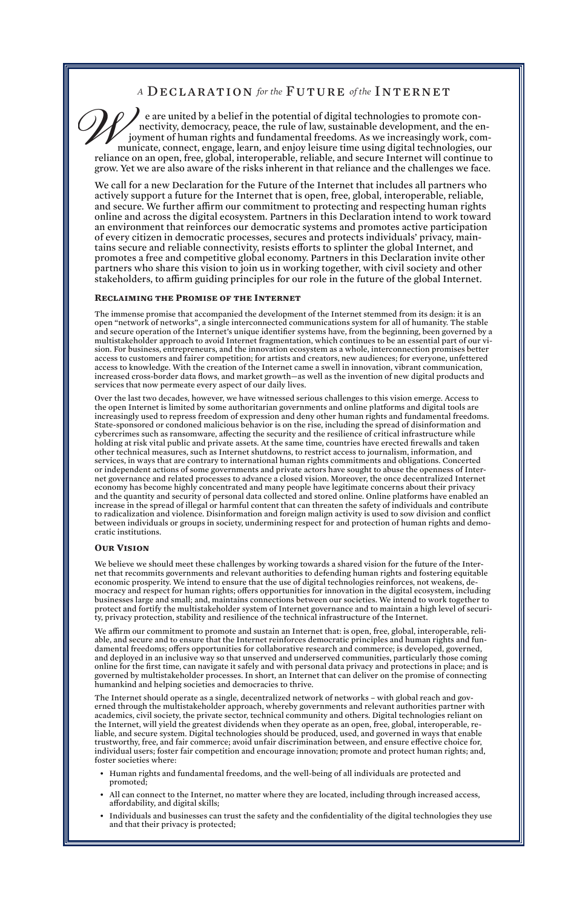# *A* DECLARATION *for the* FUTURE *of the* INTERNET

e are united by a belief in the potential of digital technologies to promote connectivity, democracy, peace, the rule of law, sustainable development, and the enjoyment of human rights and fundamental freedoms. As we increasingly work, communicate, connect, engage, learn, and enjoy leisure time using digital technologies, our reliance on an open, free, global, interoperable, reliable, and secure Internet will continue to grow. Yet we are also aware of the risks inherent in that reliance and the challenges we face.  $\mathscr{D}_{\ell_{\text{ref}}^{n}}$ 

We call for a new Declaration for the Future of the Internet that includes all partners who actively support a future for the Internet that is open, free, global, interoperable, reliable, and secure. We further affirm our commitment to protecting and respecting human rights online and across the digital ecosystem. Partners in this Declaration intend to work toward an environment that reinforces our democratic systems and promotes active participation of every citizen in democratic processes, secures and protects individuals' privacy, maintains secure and reliable connectivity, resists efforts to splinter the global Internet, and promotes a free and competitive global economy. Partners in this Declaration invite other partners who share this vision to join us in working together, with civil society and other stakeholders, to affirm guiding principles for our role in the future of the global Internet.

# **Reclaiming the Promise of the Internet**

The immense promise that accompanied the development of the Internet stemmed from its design: it is an open "network of networks", a single interconnected communications system for all of humanity. The stable and secure operation of the Internet's unique identifier systems have, from the beginning, been governed by a multistakeholder approach to avoid Internet fragmentation, which continues to be an essential part of our vision. For business, entrepreneurs, and the innovation ecosystem as a whole, interconnection promises better access to customers and fairer competition; for artists and creators, new audiences; for everyone, unfettered access to knowledge. With the creation of the Internet came a swell in innovation, vibrant communication, increased cross-border data flows, and market growth—as well as the invention of new digital products and services that now permeate every aspect of our daily lives.

Over the last two decades, however, we have witnessed serious challenges to this vision emerge. Access to the open Internet is limited by some authoritarian governments and online platforms and digital tools are increasingly used to repress freedom of expression and deny other human rights and fundamental freedoms. State-sponsored or condoned malicious behavior is on the rise, including the spread of disinformation and cybercrimes such as ransomware, affecting the security and the resilience of critical infrastructure while holding at risk vital public and private assets. At the same time, countries have erected firewalls and taken other technical measures, such as Internet shutdowns, to restrict access to journalism, information, and services, in ways that are contrary to international human rights commitments and obligations. Concerted or independent actions of some governments and private actors have sought to abuse the openness of Internet governance and related processes to advance a closed vision. Moreover, the once decentralized Internet economy has become highly concentrated and many people have legitimate concerns about their privacy and the quantity and security of personal data collected and stored online. Online platforms have enabled an increase in the spread of illegal or harmful content that can threaten the safety of individuals and contribute to radicalization and violence. Disinformation and foreign malign activity is used to sow division and conflict between individuals or groups in society, undermining respect for and protection of human rights and democratic institutions.

# **Our Vision**

We believe we should meet these challenges by working towards a shared vision for the future of the Internet that recommits governments and relevant authorities to defending human rights and fostering equitable economic prosperity. We intend to ensure that the use of digital technologies reinforces, not weakens, democracy and respect for human rights; offers opportunities for innovation in the digital ecosystem, including businesses large and small; and, maintains connections between our societies. We intend to work together to protect and fortify the multistakeholder system of Internet governance and to maintain a high level of security, privacy protection, stability and resilience of the technical infrastructure of the Internet.

We affirm our commitment to promote and sustain an Internet that: is open, free, global, interoperable, reliable, and secure and to ensure that the Internet reinforces democratic principles and human rights and fundamental freedoms; offers opportunities for collaborative research and commerce; is developed, governed, and deployed in an inclusive way so that unserved and underserved communities, particularly those coming online for the first time, can navigate it safely and with personal data privacy and protections in place; and is governed by multistakeholder processes. In short, an Internet that can deliver on the promise of connecting humankind and helping societies and democracies to thrive.

The Internet should operate as a single, decentralized network of networks – with global reach and governed through the multistakeholder approach, whereby governments and relevant authorities partner with academics, civil society, the private sector, technical community and others. Digital technologies reliant on the Internet, will yield the greatest dividends when they operate as an open, free, global, interoperable, reliable, and secure system. Digital technologies should be produced, used, and governed in ways that enable trustworthy, free, and fair commerce; avoid unfair discrimination between, and ensure effective choice for, individual users; foster fair competition and encourage innovation; promote and protect human rights; and, foster societies where:

- Human rights and fundamental freedoms, and the well-being of all individuals are protected and promoted;
- All can connect to the Internet, no matter where they are located, including through increased access, affordability, and digital skills;
- Individuals and businesses can trust the safety and the confidentiality of the digital technologies they use and that their privacy is protected;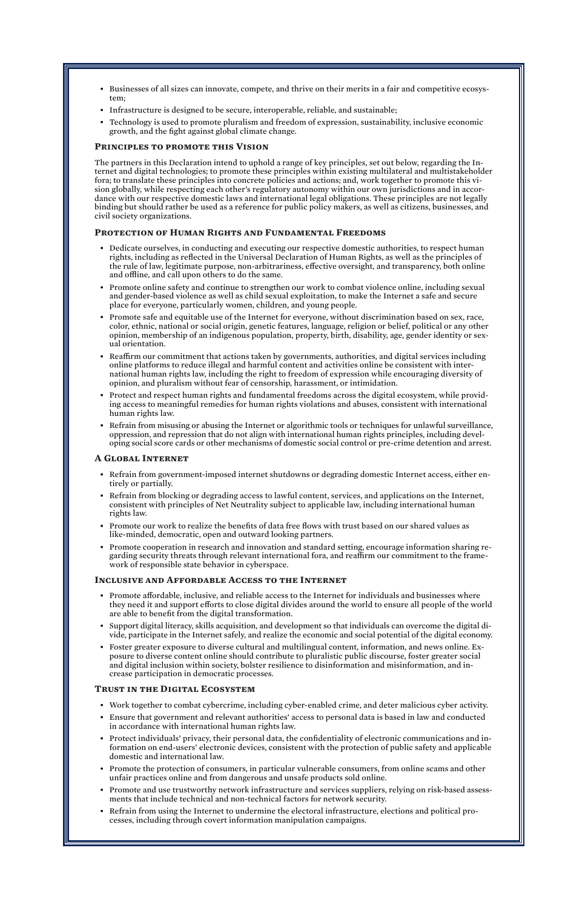- Businesses of all sizes can innovate, compete, and thrive on their merits in a fair and competitive ecosystem;
- Infrastructure is designed to be secure, interoperable, reliable, and sustainable;
- Technology is used to promote pluralism and freedom of expression, sustainability, inclusive economic growth, and the fight against global climate change.

### **Principles to promote this Vision**

The partners in this Declaration intend to uphold a range of key principles, set out below, regarding the Internet and digital technologies; to promote these principles within existing multilateral and multistakeholder fora; to translate these principles into concrete policies and actions; and, work together to promote this vision globally, while respecting each other's regulatory autonomy within our own jurisdictions and in accordance with our respective domestic laws and international legal obligations. These principles are not legally binding but should rather be used as a reference for public policy makers, as well as citizens, businesses, and civil society organizations.

#### **Protection of Human Rights and Fundamental Freedoms**

- Dedicate ourselves, in conducting and executing our respective domestic authorities, to respect human rights, including as reflected in the Universal Declaration of Human Rights, as well as the principles of the rule of law, legitimate purpose, non-arbitrariness, effective oversight, and transparency, both online and offline, and call upon others to do the same.
- Promote online safety and continue to strengthen our work to combat violence online, including sexual and gender-based violence as well as child sexual exploitation, to make the Internet a safe and secure place for everyone, particularly women, children, and young people.
- Promote safe and equitable use of the Internet for everyone, without discrimination based on sex, race, color, ethnic, national or social origin, genetic features, language, religion or belief, political or any other opinion, membership of an indigenous population, property, birth, disability, age, gender identity or sexual orientation.
- Reaffirm our commitment that actions taken by governments, authorities, and digital services including online platforms to reduce illegal and harmful content and activities online be consistent with international human rights law, including the right to freedom of expression while encouraging diversity of opinion, and pluralism without fear of censorship, harassment, or intimidation.
- Protect and respect human rights and fundamental freedoms across the digital ecosystem, while providing access to meaningful remedies for human rights violations and abuses, consistent with international human rights law.
- Refrain from misusing or abusing the Internet or algorithmic tools or techniques for unlawful surveillance, oppression, and repression that do not align with international human rights principles, including developing social score cards or other mechanisms of domestic social control or pre-crime detention and arrest.

# **A Global Internet**

- Refrain from government-imposed internet shutdowns or degrading domestic Internet access, either entirely or partially.
- Refrain from blocking or degrading access to lawful content, services, and applications on the Internet, consistent with principles of Net Neutrality subject to applicable law, including international human rights law.
- Promote our work to realize the benefits of data free flows with trust based on our shared values as like-minded, democratic, open and outward looking partners.
- Promote cooperation in research and innovation and standard setting, encourage information sharing regarding security threats through relevant international fora, and reaffirm our commitment to the framework of responsible state behavior in cyberspace.

# **Inclusive and Affordable Access to the Internet**

- Promote affordable, inclusive, and reliable access to the Internet for individuals and businesses where they need it and support efforts to close digital divides around the world to ensure all people of the world are able to benefit from the digital transformation.
- Support digital literacy, skills acquisition, and development so that individuals can overcome the digital divide, participate in the Internet safely, and realize the economic and social potential of the digital economy.
- Foster greater exposure to diverse cultural and multilingual content, information, and news online. Exposure to diverse content online should contribute to pluralistic public discourse, foster greater social and digital inclusion within society, bolster resilience to disinformation and misinformation, and in
	- crease participation in democratic processes.

# **Trust in the Digital Ecosystem**

- Work together to combat cybercrime, including cyber-enabled crime, and deter malicious cyber activity.
- Ensure that government and relevant authorities' access to personal data is based in law and conducted in accordance with international human rights law.
- Protect individuals' privacy, their personal data, the confidentiality of electronic communications and information on end-users' electronic devices, consistent with the protection of public safety and applicable domestic and international law.
- Promote the protection of consumers, in particular vulnerable consumers, from online scams and other unfair practices online and from dangerous and unsafe products sold online.
- Promote and use trustworthy network infrastructure and services suppliers, relying on risk-based assessments that include technical and non-technical factors for network security.
- Refrain from using the Internet to undermine the electoral infrastructure, elections and political processes, including through covert information manipulation campaigns.